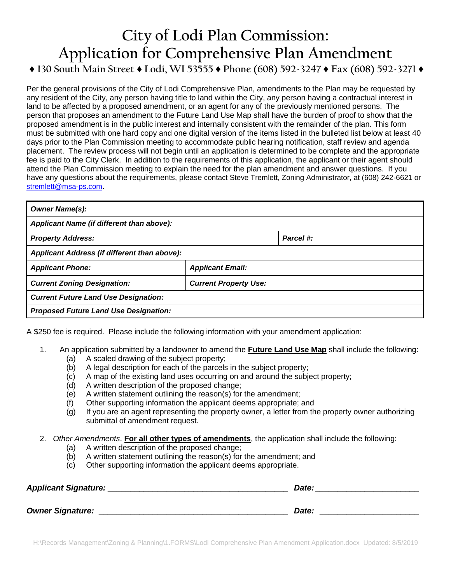## **City of Lodi Plan Commission: Application for Comprehensive Plan Amendment**

**♦ 130 South Main Street ♦ Lodi, WI 53555 ♦ Phone (608) 592-3247 ♦ Fax (608) 592-3271 ♦**

Per the general provisions of the City of Lodi Comprehensive Plan, amendments to the Plan may be requested by any resident of the City, any person having title to land within the City, any person having a contractual interest in land to be affected by a proposed amendment, or an agent for any of the previously mentioned persons. The person that proposes an amendment to the Future Land Use Map shall have the burden of proof to show that the proposed amendment is in the public interest and internally consistent with the remainder of the plan. This form must be submitted with one hard copy and one digital version of the items listed in the bulleted list below at least 40 days prior to the Plan Commission meeting to accommodate public hearing notification, staff review and agenda placement. The review process will not begin until an application is determined to be complete and the appropriate fee is paid to the City Clerk. In addition to the requirements of this application, the applicant or their agent should attend the Plan Commission meeting to explain the need for the plan amendment and answer questions. If you have any questions about the requirements, please contact Steve Tremlett, Zoning Administrator, at (608) 242-6621 or [stremlett@msa-ps.com.](mailto:stremlett@msa-ps.com)

| <b>Owner Name(s):</b>                        |                              |           |  |
|----------------------------------------------|------------------------------|-----------|--|
| Applicant Name (if different than above):    |                              |           |  |
| <b>Property Address:</b>                     |                              | Parcel #: |  |
| Applicant Address (if different than above): |                              |           |  |
| <b>Applicant Phone:</b>                      | <b>Applicant Email:</b>      |           |  |
| <b>Current Zoning Designation:</b>           | <b>Current Property Use:</b> |           |  |
| <b>Current Future Land Use Designation:</b>  |                              |           |  |
| <b>Proposed Future Land Use Designation:</b> |                              |           |  |

A \$250 fee is required. Please include the following information with your amendment application:

- 1. An application submitted by a landowner to amend the **Future Land Use Map** shall include the following:
	- (a) A scaled drawing of the subject property;
	- (b) A legal description for each of the parcels in the subject property;
	- (c) A map of the existing land uses occurring on and around the subject property;
	- (d) A written description of the proposed change;
	- (e) A written statement outlining the reason(s) for the amendment;
	- (f) Other supporting information the applicant deems appropriate; and
	- (g) If you are an agent representing the property owner, a letter from the property owner authorizing submittal of amendment request.
- 2. *Other Amendments*. **For all other types of amendments**, the application shall include the following:
	- (a) A written description of the proposed change;
	- (b) A written statement outlining the reason(s) for the amendment; and
	- (c) Other supporting information the applicant deems appropriate.

| <b>Applicant Signature:</b> | Date: |
|-----------------------------|-------|
| <b>Owner Signature:</b>     | Date: |